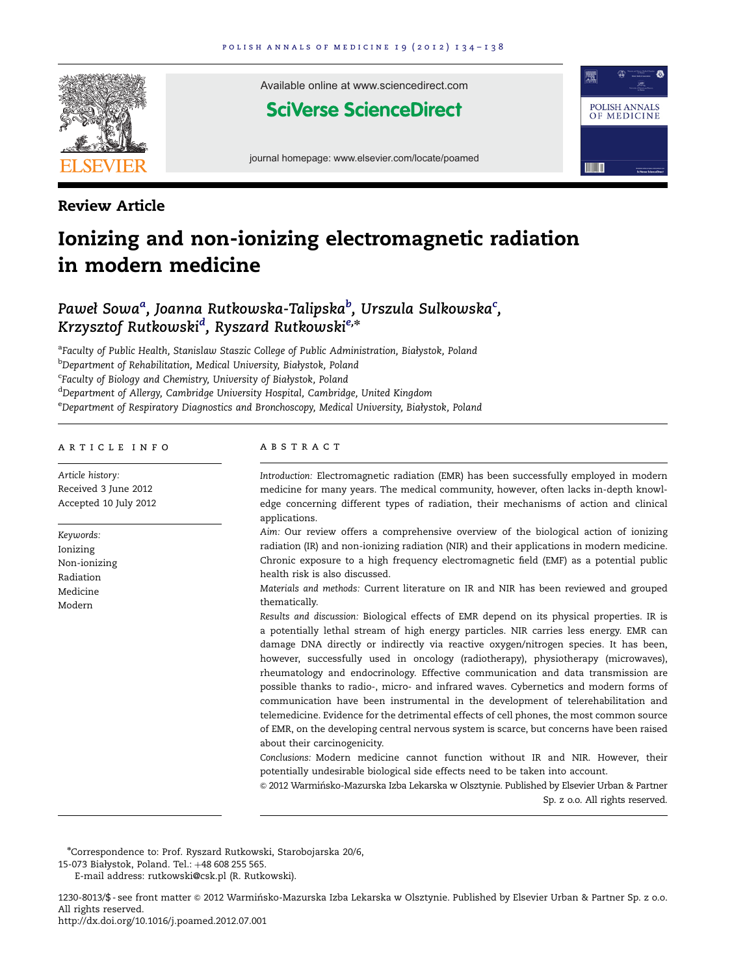

Available online at www.sciencedirect.com

## **SciVerse ScienceDirect**

journal homepage: www.elsevier.com/locate/poamed



### Review Article

# Ionizing and non-ionizing electromagnetic radiation in modern medicine

## Paweł Sowa $^a$ , Joanna Rutkowska-Talipska $^b$ , Urszula Sulkowska $^c$ , Krzysztof Rutkowski<sup>d</sup>, Ryszard Rutkowski<sup>e,</sup>\*

<sup>a</sup>Faculty of Public Health, Stanislaw Staszic College of Public Administration, Białystok, Poland <sup>b</sup>Department of Rehabilitation, Medical University, Białystok, Poland <sup>c</sup>Faculty of Biology and Chemistry, University of Białystok, Poland <sup>d</sup>Department of Allergy, Cambridge University Hospital, Cambridge, United Kingdom e Department of Respiratory Diagnostics and Bronchoscopy, Medical University, Białystok, Poland

#### article info

Article history: Received 3 June 2012 Accepted 10 July 2012

Keywords: Ionizing Non-ionizing Radiation Medicine Modern

#### **ABSTRACT**

Introduction: Electromagnetic radiation (EMR) has been successfully employed in modern medicine for many years. The medical community, however, often lacks in-depth knowledge concerning different types of radiation, their mechanisms of action and clinical applications.

Aim: Our review offers a comprehensive overview of the biological action of ionizing radiation (IR) and non-ionizing radiation (NIR) and their applications in modern medicine. Chronic exposure to a high frequency electromagnetic field (EMF) as a potential public health risk is also discussed.

Materials and methods: Current literature on IR and NIR has been reviewed and grouped thematically.

Results and discussion: Biological effects of EMR depend on its physical properties. IR is a potentially lethal stream of high energy particles. NIR carries less energy. EMR can damage DNA directly or indirectly via reactive oxygen/nitrogen species. It has been, however, successfully used in oncology (radiotherapy), physiotherapy (microwaves), rheumatology and endocrinology. Effective communication and data transmission are possible thanks to radio-, micro- and infrared waves. Cybernetics and modern forms of communication have been instrumental in the development of telerehabilitation and telemedicine. Evidence for the detrimental effects of cell phones, the most common source of EMR, on the developing central nervous system is scarce, but concerns have been raised about their carcinogenicity.

Conclusions: Modern medicine cannot function without IR and NIR. However, their potentially undesirable biological side effects need to be taken into account.

 $\odot$  2012 Warmińsko-Mazurska Izba Lekarska w Olsztynie. Published by Elsevier Urban & Partner Sp. z o.o. All rights reserved.

n Correspondence to: Prof. Ryszard Rutkowski, Starobojarska 20/6,

E-mail address: [rutkowski@csk.pl \(R. Rutkowski\)](mailto:rutkowski@csk.pl).

1230-8013/\$ - see front matter @ 2012 Warmińsko-Mazurska Izba Lekarska w Olsztynie. Published by Elsevier Urban & Partner Sp. z o.o. All rights reserved.

[http://dx.doi.org/10.1016/j.poamed.2012.07.001](dx.doi.org/10.1016/j.poamed.2012.07.001)

<sup>15-073</sup> Białystok, Poland. Tel.: +48 608 255 565.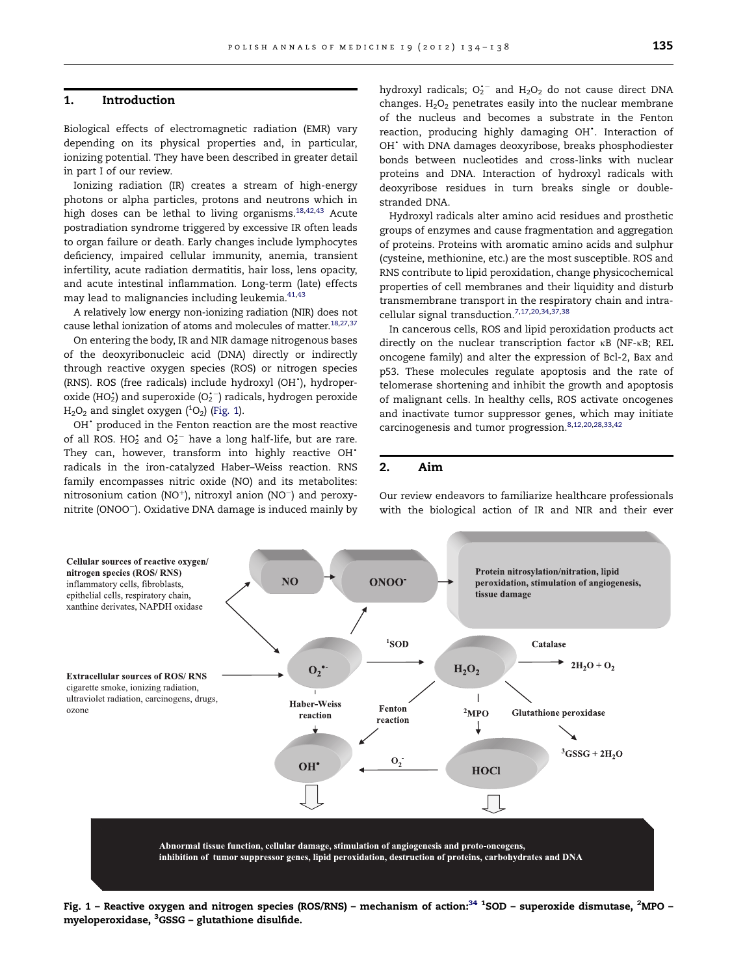#### 1. Introduction

Biological effects of electromagnetic radiation (EMR) vary depending on its physical properties and, in particular, ionizing potential. They have been described in greater detail in part I of our review.

Ionizing radiation (IR) creates a stream of high-energy photons or alpha particles, protons and neutrons which in high doses can be lethal to living organisms. $18,42,43$  $18,42,43$  $18,42,43$  Acute postradiation syndrome triggered by excessive IR often leads to organ failure or death. Early changes include lymphocytes deficiency, impaired cellular immunity, anemia, transient infertility, acute radiation dermatitis, hair loss, lens opacity, and acute intestinal inflammation. Long-term (late) effects may lead to malignancies including leukemia.<sup>[41,43](#page-4-0)</sup>

A relatively low energy non-ionizing radiation (NIR) does not cause lethal ionization of atoms and molecules of matter.<sup>18,[27](#page-3-0),[37](#page-4-0)</sup>

On entering the body, IR and NIR damage nitrogenous bases of the deoxyribonucleic acid (DNA) directly or indirectly through reactive oxygen species (ROS) or nitrogen species (RNS). ROS (free radicals) include hydroxyl (OH'), hydroperoxide (HO $_2^{\star}$ ) and superoxide (O $_2^{\star-}$ ) radicals, hydrogen peroxide  $\rm H_2O_2$  and singlet oxygen ( $^1\rm O_2)$  (Fig. 1).

OH<sup>+</sup> produced in the Fenton reaction are the most reactive of all ROS.  $HO_2^{\star}$  and  $O_2^{\star-}$  have a long half-life, but are rare. They can, however, transform into highly reactive  $OH^*$ radicals in the iron-catalyzed Haber–Weiss reaction. RNS family encompasses nitric oxide (NO) and its metabolites:  $nitrosonium$  cation (NO<sup>+</sup>), nitroxyl anion (NO<sup>-</sup>) and peroxynitrite (ONOO-). Oxidative DNA damage is induced mainly by

hydroxyl radicals;  $O_2^{\bullet -}$  and  $H_2O_2$  do not cause direct DNA changes.  $H_2O_2$  penetrates easily into the nuclear membrane of the nucleus and becomes a substrate in the Fenton reaction, producing highly damaging OH<sup>\*</sup>. Interaction of OH<sup>\*</sup> with DNA damages deoxyribose, breaks phosphodiester bonds between nucleotides and cross-links with nuclear proteins and DNA. Interaction of hydroxyl radicals with deoxyribose residues in turn breaks single or doublestranded DNA.

Hydroxyl radicals alter amino acid residues and prosthetic groups of enzymes and cause fragmentation and aggregation of proteins. Proteins with aromatic amino acids and sulphur (cysteine, methionine, etc.) are the most susceptible. ROS and RNS contribute to lipid peroxidation, change physicochemical properties of cell membranes and their liquidity and disturb transmembrane transport in the respiratory chain and intracellular signal transduction.[7](#page-3-0),[17,20](#page-3-0)[,34](#page-4-0),[37](#page-4-0),[38](#page-4-0)

In cancerous cells, ROS and lipid peroxidation products act directly on the nuclear transcription factor  $\kappa$ B (NF- $\kappa$ B; REL oncogene family) and alter the expression of Bcl-2, Bax and p53. These molecules regulate apoptosis and the rate of telomerase shortening and inhibit the growth and apoptosis of malignant cells. In healthy cells, ROS activate oncogenes and inactivate tumor suppressor genes, which may initiate carcinogenesis and tumor progression.<sup>[8](#page-3-0),[12](#page-3-0),[20,28,](#page-3-0)[33](#page-4-0),[42](#page-4-0)</sup>

#### 2. Aim

Our review endeavors to familiarize healthcare professionals with the biological action of IR and NIR and their ever



Fig. 1 – Reactive oxygen and nitrogen species (ROS/RNS) – mechanism of action:<sup>34 1</sup>SOD – superoxide dismutase, <sup>2</sup>MPO – myeloperoxidase, <sup>3</sup>GSSG – glutathione disulfide.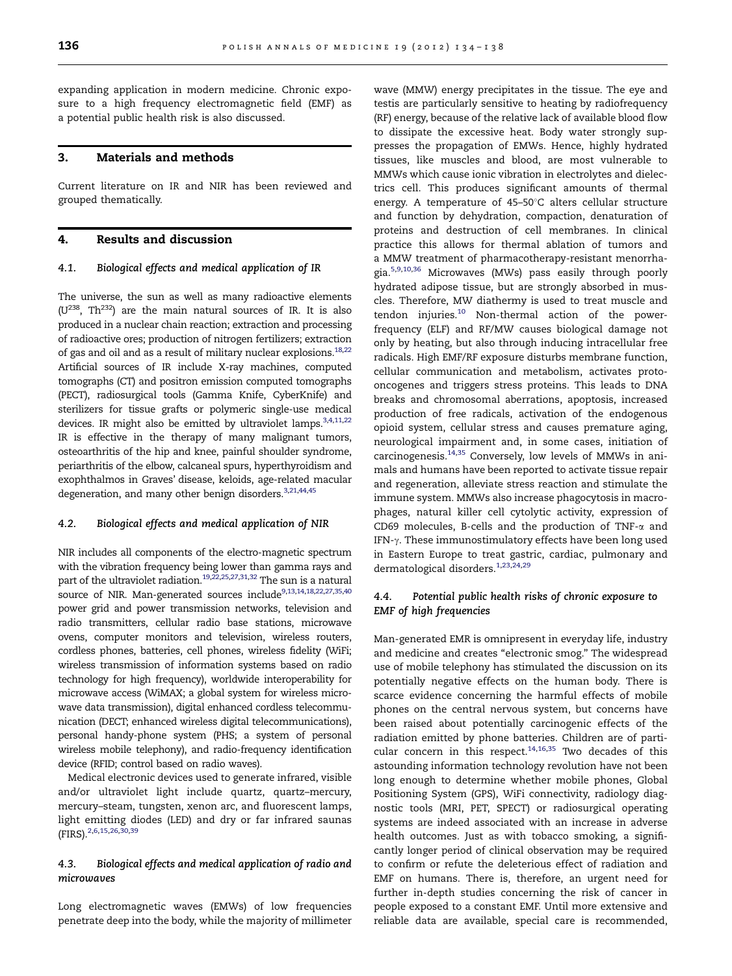expanding application in modern medicine. Chronic exposure to a high frequency electromagnetic field (EMF) as a potential public health risk is also discussed.

#### 3. Materials and methods

Current literature on IR and NIR has been reviewed and grouped thematically.

#### 4. Results and discussion

#### 4.1. Biological effects and medical application of IR

The universe, the sun as well as many radioactive elements  $(U^{238}, Th^{232})$  are the main natural sources of IR. It is also produced in a nuclear chain reaction; extraction and processing of radioactive ores; production of nitrogen fertilizers; extraction of gas and oil and as a result of military nuclear explosions.<sup>18,22</sup> Artificial sources of IR include X-ray machines, computed tomographs (CT) and positron emission computed tomographs (PECT), radiosurgical tools (Gamma Knife, CyberKnife) and sterilizers for tissue grafts or polymeric single-use medical devices. IR might also be emitted by ultraviolet lamps.<sup>3,4,11,22</sup> IR is effective in the therapy of many malignant tumors, osteoarthritis of the hip and knee, painful shoulder syndrome, periarthritis of the elbow, calcaneal spurs, hyperthyroidism and exophthalmos in Graves' disease, keloids, age-related macular degeneration, and many other benign disorders.<sup>3,21[,44,45](#page-4-0)</sup>

#### 4.2. Biological effects and medical application of NIR

NIR includes all components of the electro-magnetic spectrum with the vibration frequency being lower than gamma rays and part of the ultraviolet radiation.<sup>[19,22,25](#page-3-0),[27,31,](#page-3-0)[32](#page-4-0)</sup> The sun is a natural source of NIR. Man-generated sources include<sup>9,13,14,18,22,[27](#page-3-0)[,35,40](#page-4-0)</sup> power grid and power transmission networks, television and radio transmitters, cellular radio base stations, microwave ovens, computer monitors and television, wireless routers, cordless phones, batteries, cell phones, wireless fidelity (WiFi; wireless transmission of information systems based on radio technology for high frequency), worldwide interoperability for microwave access (WiMAX; a global system for wireless microwave data transmission), digital enhanced cordless telecommunication (DECT; enhanced wireless digital telecommunications), personal handy-phone system (PHS; a system of personal wireless mobile telephony), and radio-frequency identification device (RFID; control based on radio waves).

Medical electronic devices used to generate infrared, visible and/or ultraviolet light include quartz, quartz–mercury, mercury–steam, tungsten, xenon arc, and fluorescent lamps, light emitting diodes (LED) and dry or far infrared saunas (FIRS).<sup>2,6,15,26,[30](#page-3-0)[,39](#page-4-0)</sup>

#### 4.3. Biological effects and medical application of radio and microwaves

Long electromagnetic waves (EMWs) of low frequencies penetrate deep into the body, while the majority of millimeter wave (MMW) energy precipitates in the tissue. The eye and testis are particularly sensitive to heating by radiofrequency (RF) energy, because of the relative lack of available blood flow to dissipate the excessive heat. Body water strongly suppresses the propagation of EMWs. Hence, highly hydrated tissues, like muscles and blood, are most vulnerable to MMWs which cause ionic vibration in electrolytes and dielectrics cell. This produces significant amounts of thermal energy. A temperature of  $45-50^{\circ}$ C alters cellular structure and function by dehydration, compaction, denaturation of proteins and destruction of cell membranes. In clinical practice this allows for thermal ablation of tumors and a MMW treatment of pharmacotherapy-resistant menorrhagia.[5,9,10,](#page-3-0)[36](#page-4-0) Microwaves (MWs) pass easily through poorly hydrated adipose tissue, but are strongly absorbed in muscles. Therefore, MW diathermy is used to treat muscle and tendon injuries. $10$  Non-thermal action of the powerfrequency (ELF) and RF/MW causes biological damage not only by heating, but also through inducing intracellular free radicals. High EMF/RF exposure disturbs membrane function, cellular communication and metabolism, activates protooncogenes and triggers stress proteins. This leads to DNA breaks and chromosomal aberrations, apoptosis, increased production of free radicals, activation of the endogenous opioid system, cellular stress and causes premature aging, neurological impairment and, in some cases, initiation of carcinogenesis[.14](#page-3-0)[,35](#page-4-0) Conversely, low levels of MMWs in animals and humans have been reported to activate tissue repair and regeneration, alleviate stress reaction and stimulate the immune system. MMWs also increase phagocytosis in macrophages, natural killer cell cytolytic activity, expression of CD69 molecules, B-cells and the production of TNF-a and IFN- $\gamma$ . These immunostimulatory effects have been long used in Eastern Europe to treat gastric, cardiac, pulmonary and dermatological disorders.<sup>[1](#page-3-0),[23,24,29](#page-3-0)</sup>

#### 4.4. Potential public health risks of chronic exposure to EMF of high frequencies

Man-generated EMR is omnipresent in everyday life, industry and medicine and creates "electronic smog." The widespread use of mobile telephony has stimulated the discussion on its potentially negative effects on the human body. There is scarce evidence concerning the harmful effects of mobile phones on the central nervous system, but concerns have been raised about potentially carcinogenic effects of the radiation emitted by phone batteries. Children are of particular concern in this respect. $14,16,35$  $14,16,35$  $14,16,35$  $14,16,35$  Two decades of this astounding information technology revolution have not been long enough to determine whether mobile phones, Global Positioning System (GPS), WiFi connectivity, radiology diagnostic tools (MRI, PET, SPECT) or radiosurgical operating systems are indeed associated with an increase in adverse health outcomes. Just as with tobacco smoking, a significantly longer period of clinical observation may be required to confirm or refute the deleterious effect of radiation and EMF on humans. There is, therefore, an urgent need for further in-depth studies concerning the risk of cancer in people exposed to a constant EMF. Until more extensive and reliable data are available, special care is recommended,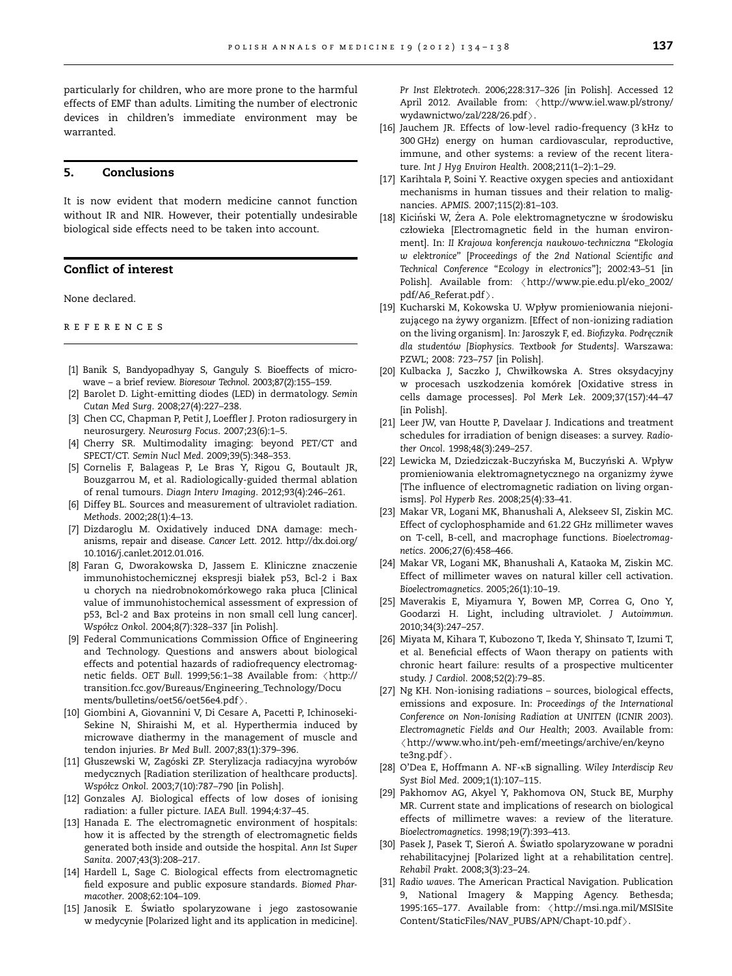<span id="page-3-0"></span>particularly for children, who are more prone to the harmful effects of EMF than adults. Limiting the number of electronic devices in children's immediate environment may be warranted.

#### 5. Conclusions

It is now evident that modern medicine cannot function without IR and NIR. However, their potentially undesirable biological side effects need to be taken into account.

#### Conflict of interest

None declared.

references

- [1] Banik S, Bandyopadhyay S, Ganguly S. Bioeffects of microwave – a brief review. Bioresour Technol. 2003;87(2):155–159.
- [2] Barolet D. Light-emitting diodes (LED) in dermatology. Semin Cutan Med Surg. 2008;27(4):227–238.
- [3] Chen CC, Chapman P, Petit J, Loeffler J. Proton radiosurgery in neurosurgery. Neurosurg Focus. 2007;23(6):1–5.
- [4] Cherry SR. Multimodality imaging: beyond PET/CT and SPECT/CT. Semin Nucl Med. 2009;39(5):348–353.
- [5] Cornelis F, Balageas P, Le Bras Y, Rigou G, Boutault JR, Bouzgarrou M, et al. Radiologically-guided thermal ablation of renal tumours. Diagn Interv Imaging. 2012;93(4):246–261.
- [6] Diffey BL. Sources and measurement of ultraviolet radiation. Methods. 2002;28(1):4–13.
- [7] Dizdaroglu M. Oxidatively induced DNA damage: mechanisms, repair and disease. Cancer Lett. 2012. [http://dx.doi.org/](dx.doi.org/10.1016/j.canlet.2012.01.016) [10.1016/j.canlet.2012.01.016](dx.doi.org/10.1016/j.canlet.2012.01.016).
- [8] Faran G, Dworakowska D, Jassem E. Kliniczne znaczenie immunohistochemicznej ekspresji białek p53, Bcl-2 i Bax u chorych na niedrobnokomórkowego raka płuca [Clinical value of immunohistochemical assessment of expression of p53, Bcl-2 and Bax proteins in non small cell lung cancer]. Współcz Onkol. 2004;8(7):328-337 [in Polish].
- [9] Federal Communications Commission Office of Engineering and Technology. Questions and answers about biological effects and potential hazards of radiofrequency electromagnetic fields. OET Bull. 1999;56:1-38 Available from: <[http://](http://transition.fcc.gov/Bureaus/Engineering_Technology/Documents/bulletins/oet56/oet56e4.pdf) [transition.fcc.gov/Bureaus/Engineering\\_Technology/Docu](http://transition.fcc.gov/Bureaus/Engineering_Technology/Documents/bulletins/oet56/oet56e4.pdf) [ments/bulletins/oet56/oet56e4.pdf](http://transition.fcc.gov/Bureaus/Engineering_Technology/Documents/bulletins/oet56/oet56e4.pdf) $\rangle.$
- [10] Giombini A, Giovannini V, Di Cesare A, Pacetti P, Ichinoseki-Sekine N, Shiraishi M, et al. Hyperthermia induced by microwave diathermy in the management of muscle and tendon injuries. Br Med Bull. 2007;83(1):379–396.
- [11] Głuszewski W, Zagóski ZP. Sterylizacja radiacyjna wyrobów medycznych [Radiation sterilization of healthcare products]. Współcz Onkol. 2003;7(10):787-790 [in Polish].
- [12] Gonzales AJ. Biological effects of low doses of ionising radiation: a fuller picture. IAEA Bull. 1994;4:37–45.
- [13] Hanada E. The electromagnetic environment of hospitals: how it is affected by the strength of electromagnetic fields generated both inside and outside the hospital. Ann Ist Super Sanita. 2007;43(3):208–217.
- [14] Hardell L, Sage C. Biological effects from electromagnetic field exposure and public exposure standards. Biomed Pharmacother. 2008;62:104–109.
- [15] Janosik E. S´wiatło spolaryzowane i jego zastosowanie w medycynie [Polarized light and its application in medicine].

Pr Inst Elektrotech. 2006;228:317–326 [in Polish]. Accessed 12 April 2012. Available from: <[http://www.iel.waw.pl/strony/](http://www.iel.waw.pl/strony/wydawnictwo/zal/228/26.pdf) [wydawnictwo/zal/228/26.pdf](http://www.iel.waw.pl/strony/wydawnictwo/zal/228/26.pdf) $\rangle$ .

- [16] Jauchem JR. Effects of low-level radio-frequency (3 kHz to 300 GHz) energy on human cardiovascular, reproductive, immune, and other systems: a review of the recent literature. Int J Hyg Environ Health. 2008;211(1–2):1–29.
- [17] Karihtala P, Soini Y. Reactive oxygen species and antioxidant mechanisms in human tissues and their relation to malignancies. APMIS. 2007;115(2):81–103.
- [18] Kiciński W, Żera A. Pole elektromagnetyczne w środowisku człowieka [Electromagnetic field in the human environment]. In: II Krajowa konferencja naukowo-techniczna ''Ekologia w elektronice'' [Proceedings of the 2nd National Scientific and Technical Conference ''Ecology in electronics'']; 2002:43–51 [in Polish]. Available from: <[http://www.pie.edu.pl/eko\\_2002/](http://www.pie.edu.pl/eko_2002/pdf/A6_Referat.pdf)  $pdf/AG\_Referat.pdf$ ).
- [19] Kucharski M, Kokowska U. Wpływ promieniowania niejonizującego na żywy organizm. [Effect of non-ionizing radiation on the living organism]. In: Jaroszyk F, ed. Biofizyka. Podręcznik dla studentów [Biophysics. Textbook for Students]. Warszawa: PZWL; 2008: 723–757 [in Polish].
- [20] Kulbacka J, Saczko J, Chwiłkowska A. Stres oksydacyjny w procesach uszkodzenia komórek [Oxidative stress in cells damage processes]. Pol Merk Lek. 2009;37(157):44–47 [in Polish].
- [21] Leer JW, van Houtte P, Davelaar J. Indications and treatment schedules for irradiation of benign diseases: a survey. Radiother Oncol. 1998;48(3):249–257.
- [22] Lewicka M, Dziedziczak-Buczyńska M, Buczyński A. Wpływ promieniowania elektromagnetycznego na organizmy żywe [The influence of electromagnetic radiation on living organisms]. Pol Hyperb Res. 2008;25(4):33–41.
- [23] Makar VR, Logani MK, Bhanushali A, Alekseev SI, Ziskin MC. Effect of cyclophosphamide and 61.22 GHz millimeter waves on T-cell, B-cell, and macrophage functions. Bioelectromagnetics. 2006;27(6):458–466.
- [24] Makar VR, Logani MK, Bhanushali A, Kataoka M, Ziskin MC. Effect of millimeter waves on natural killer cell activation. Bioelectromagnetics. 2005;26(1):10–19.
- [25] Maverakis E, Miyamura Y, Bowen MP, Correa G, Ono Y, Goodarzi H. Light, including ultraviolet. J Autoimmun. 2010;34(3):247–257.
- [26] Miyata M, Kihara T, Kubozono T, Ikeda Y, Shinsato T, Izumi T, et al. Beneficial effects of Waon therapy on patients with chronic heart failure: results of a prospective multicenter study. J Cardiol. 2008;52(2):79–85.
- [27] Ng KH. Non-ionising radiations sources, biological effects, emissions and exposure. In: Proceedings of the International Conference on Non-Ionising Radiation at UNITEN (ICNIR 2003). Electromagnetic Fields and Our Health; 2003. Available from:  $\langle$ [http://www.who.int/peh-emf/meetings/archive/en/keyno](http://www.who.int/peh-emf/meetings/archive/en/keynote3ng.pdf)te3ng.pdf $\rangle$ .
- [te3ng.pdf](http://www.who.int/peh-emf/meetings/archive/en/keynote3ng.pdf)>.<br>[28] O'Dea E, Hoffmann A. NF-kB signalling. Wiley Interdiscip Rev Syst Biol Med. 2009;1(1):107–115.
- [29] Pakhomov AG, Akyel Y, Pakhomova ON, Stuck BE, Murphy MR. Current state and implications of research on biological effects of millimetre waves: a review of the literature. Bioelectromagnetics. 1998;19(7):393–413.
- [30] Pasek J, Pasek T, Sieroń A. Światło spolaryzowane w poradni rehabilitacyjnej [Polarized light at a rehabilitation centre]. Rehabil Prakt. 2008;3(3):23–24.
- [31] Radio waves. The American Practical Navigation. Publication 9, National Imagery & Mapping Agency. Bethesda; 1995:165–177. Available from: /[http://msi.nga.mil/MSISite](http://msi.nga.mil/MSISiteContent/StaticFiles/NAV_PUBS/APN/Chapt-10.pdf) [Content/StaticFiles/NAV\\_PUBS/APN/Chapt-10.pdf](http://msi.nga.mil/MSISiteContent/StaticFiles/NAV_PUBS/APN/Chapt-10.pdf)  $\rangle$ .